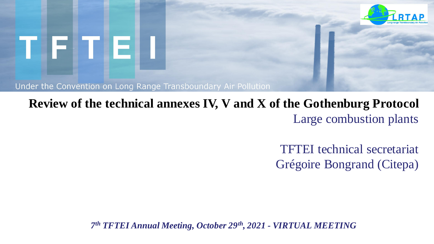

# TIFITIEI

Under the Convention on Long Range Transboundary Air Pollution

### **Review of the technical annexes IV, V and X of the Gothenburg Protocol** Large combustion plants

TFTEI technical secretariat Grégoire Bongrand (Citepa)

*7 th TFTEI Annual Meeting, October 29th, 2021 - VIRTUAL MEETING*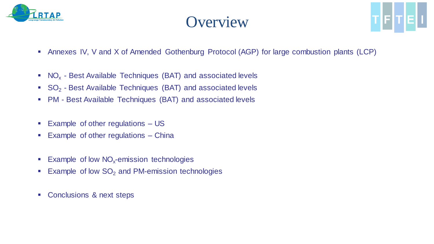

### **Overview**



- **EXT** Annexes IV, V and X of Amended Gothenburg Protocol (AGP) for large combustion plants (LCP)
- $\blacksquare$  NO<sub>x</sub> Best Available Techniques (BAT) and associated levels
- $\bullet$  SO<sub>2</sub> Best Available Techniques (BAT) and associated levels
- PM Best Available Techniques (BAT) and associated levels
- Example of other regulations US
- Example of other regulations China
- **Example of low NO<sub>x</sub>-emission technologies**
- **Example of low SO<sub>2</sub> and PM-emission technologies**
- Conclusions & next steps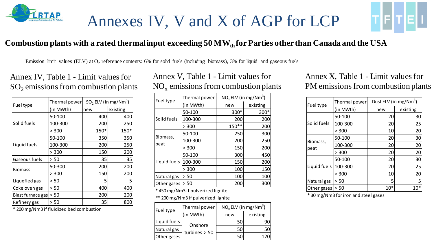

### Annexes IV, V and X of AGP for LCP



#### **Combustion plants with a rated thermal input exceeding 50 MWth for Parties other than Canada and the USA**

Emission limit values (ELV) at  $O_2$  reference contents: 6% for solid fuels (including biomass), 3% for liquid and gaseous fuels

#### Annex IV, Table 1 - Limit values for  $SO<sub>2</sub>$  emissions from combustion plants

| Fuel type         | Thermal power | $SO2$ ELV (in mg/Nm <sup>3</sup> ) |          |
|-------------------|---------------|------------------------------------|----------|
|                   | (in MWth)     | new                                | existing |
|                   | 50-100        | 400                                | 400      |
| Solid fuels       | 100-300       | 200                                | 250      |
|                   | > 300         | 150*                               | 150*     |
|                   | 50-100        | 350                                | 350      |
| Liquid fuels      | 100-300       | 200                                | 250      |
|                   | > 300         | 150                                | 200      |
| Gaseous fuels     | > 50          | 35                                 | 35       |
| <b>Biomass</b>    | 50-300        | 200                                | 200      |
|                   | > 300         | 150                                | 200      |
| Liquefied gas     | > 50          | 5                                  | 5        |
| Coke oven gas     | > 50          | 400                                | 400      |
| Blast furnace gas | > 50          | 200                                | 200      |
| Refinery gas      | > 50          | 35                                 | 80C      |

\* 200 mg/Nm3 if fluidized bed combustion

#### Annex V, Table 1 - Limit values for  $NO<sub>x</sub>$  emissions from combustion plants

| Fuel type           | Thermal power | $NO_x$ ELV (in mg/Nm <sup>3</sup> ) |          |  |
|---------------------|---------------|-------------------------------------|----------|--|
|                     | (in MWth)     | new                                 | existing |  |
|                     | 50-100        | 300*                                | $300*$   |  |
| Solid fuels         | 100-300       | 200                                 | 200      |  |
|                     | > 300         | 150**                               | 200      |  |
|                     | 50-100        | 250                                 | 300      |  |
| Biomass,            | 100-300       | 200                                 | 250      |  |
| peat                | > 300         | 150                                 | 200      |  |
|                     | 50-100        | 300                                 | 450      |  |
| Liquid fuels        | 100-300       | 150                                 | 200      |  |
|                     | > 300         | 100                                 | 150      |  |
| Natural gas         | > 50          | 100                                 | 100      |  |
| > 50<br>Other gases |               | 200                                 | 300      |  |

\* 450 mg/Nm3 if pulverized lignite

\*\* 200 mg/Nm3 if pulverized lignite

| Fuel type    | Thermal power   | $NO_x$ ELV (in mg/Nm <sup>3</sup> ) |          |  |
|--------------|-----------------|-------------------------------------|----------|--|
|              | (in MWth)       | new                                 | existing |  |
| Liquid fuels | Onshore         | 50                                  | 90       |  |
| Natural gas  |                 | 50                                  | 50       |  |
| Other gases  | turbines $> 50$ | 50                                  | 170      |  |

Annex X, Table 1 - Limit values for PM emissions from combustion plants

| Fuel type    | Thermal power | Dust ELV (in mg/Nm <sup>3</sup> ) |          |
|--------------|---------------|-----------------------------------|----------|
|              | (in MWth)     | new                               | existing |
|              | 50-100        | 20                                | 30       |
| Solid fuels  | 100-300       | 20                                | 25       |
|              | > 300         | 10                                | 20       |
|              | 50-100        | 20                                | 30       |
| Biomass,     | 100-300       | 20                                | 20       |
| peat         | > 300         | 20                                | 20       |
|              | 50-100        | 20                                | 30       |
| Liquid fuels | 100-300       | 20                                | 25       |
|              | > 300         | 10                                | 20       |
| Natural gas  | > 50          | 5                                 | 5        |
| Other gases  | > 50          | $10*$                             |          |

\* 30 mg/Nm3 for iron and steel gases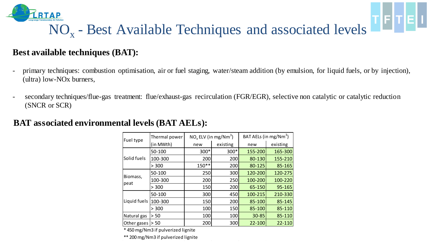

### NO<sub>x</sub> - Best Available Techniques and associated levels

TFTEL

#### **Best available techniques (BAT):**

- primary techniques: combustion optimisation, air or fuel staging, water/steam addition (by emulsion, for liquid fuels, or by injection), (ultra) low-NOx burners,
- secondary techniques/flue-gas treatment: flue/exhaust-gas recirculation (FGR/EGR), selective non catalytic or catalytic reduction (SNCR or SCR)

#### **BAT associated environmental levels (BAT AELs):**

| Fuel type    | Thermal power | $NO_x$ ELV (in mg/Nm <sup>3</sup> ) |          | BAT AELs (in mg/Nm <sup>3</sup> ) |          |
|--------------|---------------|-------------------------------------|----------|-----------------------------------|----------|
|              | (in MWth)     | new                                 | existing | new                               | existing |
|              | 50-100        | 300*                                | $300*$   | 155-200                           | 165-300  |
| Solid fuels  | 100-300       | 200                                 | 200      | 80-130                            | 155-210  |
|              | > 300         | 150**                               | 200      | 80-125                            | 85-165   |
|              | 50-100        | 250                                 | 300      | 120-200                           | 120-275  |
| Biomass,     | 100-300       | 200                                 | 250      | 100-200                           | 100-220  |
| peat         | > 300         | 150                                 | 200      | 65-150                            | 95-165   |
|              | 50-100        | 300                                 | 450      | 100-215                           | 210-330  |
| Liquid fuels | 100-300       | 150                                 | 200      | 85-100                            | 85-145   |
|              | > 300         | 100                                 | 150      | 85-100                            | 85-110   |
| Natural gas  | > 50          | 100                                 | 100      | 30-85                             | 85-110   |
| Other gases  | > 50          | 200                                 | 300      | 22-100                            | 22-110   |

\* 450 mg/Nm3 if pulverized lignite

\*\* 200 mg/Nm3 if pulverized lignite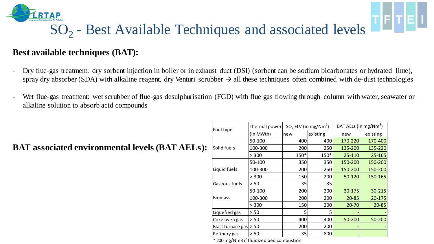

#### TF|T|E<u>| !</u> SO<sub>2</sub> - Best Available Techniques and associated levels

#### **Best available techniques (BAT):**

- Dry flue-gas treatment: dry sorbent injection in boiler or in exhaust duct (DSI) (sorbent can be sodium bicarbonates or hydrated lime), spray dry absorber (SDA) with alkaline reagent, dry Venturi scrubber  $\rightarrow$  all these techniques often combined with de-dust technologies
- Wet flue-gas treatment: wet scrubber of flue-gas desulphurisation (FGD) with flue gas flowing through column with water, seawater or alkaline solution to absorb acid compounds

#### **BAT associated environmental levels (BAT AELs):**

| Fuel type                | Thermal power | $SO2$ ELV (in mg/Nm <sup>3</sup> ) |          | BAT AELs (in mg/Nm <sup>3</sup> ) |           |
|--------------------------|---------------|------------------------------------|----------|-----------------------------------|-----------|
|                          | (in MWth)     | new                                | existing | new                               | existing  |
|                          | 50-100        | 400                                | 400      | 170-220                           | 170-400   |
| Solid fuels              | 100-300       | 200                                | 250      | 135-200                           | 135-220   |
|                          | > 300         | $150*$                             | 150*     | 25-110                            | 25-165    |
|                          | 50-100        | 350                                | 350l     | 150-200                           | 150-200   |
| Liquid fuels             | 100-300       | 200                                | 250      | 150-200                           | 150-200   |
|                          | > 300         | 150                                | 200      | 50-120                            | 150-165   |
| Gaseous fuels            | > 50          | 35                                 | 35       |                                   |           |
|                          | 50-100        | 200                                | 200      | 30-175                            | 30-215    |
| <b>Biomass</b>           | 100-300       | 200                                | 200      | $20 - 85$                         | 20-175    |
|                          | > 300         | 150                                | 200      | $20 - 70$                         | $20 - 85$ |
| Liquefied gas            | > 50          | 5                                  | 5.       |                                   |           |
| Coke oven gas            | > 50          | 400                                | 400      | 50-200                            | 50-200    |
| Blast furnace gas $>$ 50 |               | 200                                | 200      |                                   |           |
| Refinery gas             | > 50          | 35                                 | 800      |                                   |           |

\* 200 mg/Nm3 if fluidized bed combustion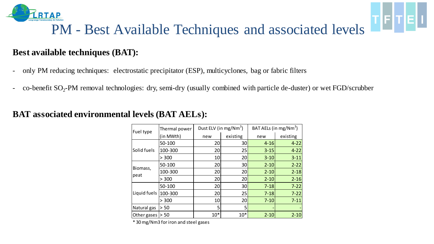

### PM - Best Available Techniques and associated levels

TFIT

#### **Best available techniques (BAT):**

- only PM reducing techniques: electrostatic precipitator (ESP), multicyclones, bag or fabric filters
- co-benefit SO<sub>2</sub>-PM removal technologies: dry, semi-dry (usually combined with particle de-duster) or wet FGD/scrubber

| Fuel type          | Thermal power |       | Dust ELV (in mg/Nm <sup>3</sup> ) |          | BAT AELs (in mg/Nm <sup>3</sup> ) |  |  |
|--------------------|---------------|-------|-----------------------------------|----------|-----------------------------------|--|--|
|                    | (in MWth)     | new   | existing                          | new      | existing                          |  |  |
|                    | 50-100        | 20    | 30                                | $4 - 16$ | $4 - 22$                          |  |  |
| Solid fuels        | 100-300       | 20    | 25                                | $3 - 15$ | $4 - 22$                          |  |  |
|                    | > 300         | 10    | 20                                | $3 - 10$ | $3 - 11$                          |  |  |
|                    | 50-100        | 20    | 30                                | $2 - 10$ | $2 - 22$                          |  |  |
| Biomass,           | 100-300       | 20    | 20                                | $2 - 10$ | $2 - 18$                          |  |  |
| peat               | > 300         | 20    | 20                                | $2 - 10$ | $2 - 16$                          |  |  |
|                    | 50-100        | 20    | 30                                | $7 - 18$ | $7 - 22$                          |  |  |
| Liquid fuels       | 100-300       | 20    | 25                                | $7 - 18$ | $7 - 22$                          |  |  |
|                    | > 300         | 10    | 20                                | $7 - 10$ | $7 - 11$                          |  |  |
| Natural gas        | > 50          | 5     | 5                                 |          |                                   |  |  |
| Other gases $> 50$ |               | $10*$ | $10*$                             | $2 - 10$ | $2 - 10$                          |  |  |

#### **BAT associated environmental levels (BAT AELs):**

\* 30 mg/Nm3 for iron and steel gases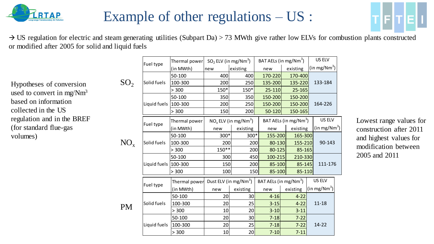

### Example of other regulations – US :



 $\rightarrow$  US regulation for electric and steam generating utilities (Subpart Da) > 73 MWth give rather low ELVs for combustion plants constructed or modified after 2005 for solid and liquid fuels

Hypotheses of conversion used to convert in mg/Nm<sup>3</sup> based on information collected in the US regulation and in the BREF (for standard flue-gas volumes)

|                 | Fuel type            | Thermal power | $SO_2$ ELV (in mg/Nm <sup>3</sup> ) |                                     |                                   | BAT AELs (in mg/Nm <sup>3</sup> ) | <b>US ELV</b>            |
|-----------------|----------------------|---------------|-------------------------------------|-------------------------------------|-----------------------------------|-----------------------------------|--------------------------|
|                 |                      | (in MWth)     | new                                 | existing                            | new                               | existing                          | (in mg/Nm <sup>3</sup> ) |
|                 |                      | 50-100        | 400                                 | 400                                 | 170-220                           | 170-400                           |                          |
| SO <sub>2</sub> | Solid fuels          | 100-300       | 200                                 | 250                                 | 135-200                           | 135-220                           | 133-184                  |
|                 |                      | > 300         | 150*                                | 150*                                | 25-110                            | 25-165                            |                          |
|                 |                      | 50-100        | 350                                 | 350                                 | 150-200                           | 150-200                           |                          |
|                 | Liquid fuels 100-300 |               | 200                                 | 250                                 | 150-200                           | 150-200                           | 164-226                  |
|                 |                      | > 300         | 150                                 | 200                                 | 50-120                            | 150-165                           |                          |
|                 | Fuel type            | Thermal power |                                     | $NO_x$ ELV (in mg/Nm <sup>3</sup> ) |                                   | BAT AELs (in mg/Nm <sup>3</sup> ) | US ELV                   |
|                 |                      | (in MWth)     | existing<br>new                     |                                     | new                               | existing                          | (in mg/Nm <sup>3</sup> ) |
|                 |                      | 50-100        | 300*                                | 300*                                | 155-200                           | 165-300                           |                          |
| $NO_{x}$        | Solid fuels          | 100-300       | 200                                 | 200                                 | 80-130                            | 155-210                           | 90-143                   |
|                 |                      | > 300         | $150**$                             | 200                                 | 80-125                            | 85-165                            |                          |
|                 |                      | 50-100        | 300                                 | 450                                 | 100-215                           | 210-330                           |                          |
|                 | Liquid fuels 100-300 |               | 150                                 | 200                                 | 85-100                            | 85-145                            | 111-176                  |
|                 |                      | > 300         | 100                                 | 150                                 | 85-100                            | 85-110                            |                          |
|                 |                      | Thermal power |                                     | Dust ELV (in mg/Nm <sup>3</sup> )   | BAT AELs (in mg/Nm <sup>3</sup> ) |                                   | US ELV                   |
|                 | Fuel type            | (in MWth)     | new                                 | existing                            | new                               | existing                          | (in mg/Nm <sup>3</sup> ) |
|                 |                      | 50-100        | 20                                  | 30                                  | $4 - 16$                          | $4 - 22$                          |                          |
| <b>PM</b>       | Solid fuels          | 100-300       | 20                                  | 25                                  | $3 - 15$                          | $4 - 22$                          | $11 - 18$                |
|                 |                      | > 300         | 10                                  | 20                                  | $3 - 10$                          | $3 - 11$                          |                          |
|                 |                      | 50-100        | 20                                  | 30                                  | $7 - 18$                          | $7 - 22$                          |                          |
|                 | Liquid fuels         | 100-300       | 20                                  | 25                                  | $7 - 18$                          | $7 - 22$                          | $14 - 22$                |
|                 |                      | > 300         | 10                                  | 20                                  | $7 - 10$                          | $7 - 11$                          |                          |

Lowest range values for construction after 2011 and highest values for modification between 2005 and 2011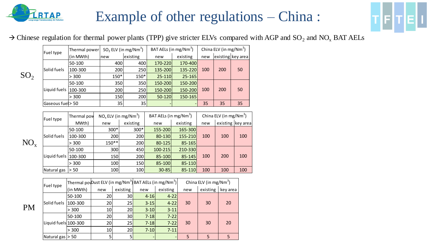

 $SO<sub>2</sub>$ 

### Example of other regulations – China :



#### $\rightarrow$  Chinese regulation for thermal power plants (TPP) give stricter ELVs compared with AGP and SO<sub>2</sub> and NO<sub>x</sub> BAT AELs

| Fuel type         | Thermal power |                                     | $SO2$ ELV (in mg/Nm <sup>3</sup> ) | BAT AELs (in mg/Nm <sup>3</sup> ) |                                   | China ELV (in mg/Nm <sup>3</sup> ) |                                    |                   |  |
|-------------------|---------------|-------------------------------------|------------------------------------|-----------------------------------|-----------------------------------|------------------------------------|------------------------------------|-------------------|--|
|                   | (in MWth)     | new                                 | existing                           | new                               | existing                          | new                                |                                    | existing key area |  |
|                   | 50-100        | 400                                 | 400                                | 170-220                           | 170-400                           |                                    |                                    |                   |  |
| Solid fuels       | 100-300       | 200                                 | 250                                | 135-200                           | 135-220                           | 100                                | 200                                | 50                |  |
|                   | > 300         | $150*$                              | $150*$                             | 25-110                            | $25 - 165$                        |                                    |                                    |                   |  |
|                   | 50-100        | 350                                 | 350                                | 150-200                           | 150-200                           |                                    | 200                                | 50                |  |
| Liquid fuels      | 100-300       | 200                                 | 250                                | 150-200                           | 150-200                           | 100                                |                                    |                   |  |
|                   | > 300         | 150                                 | 200                                | 50-120                            | 150-165                           |                                    |                                    |                   |  |
| Gaseous fuel > 50 |               | 35                                  | 35                                 |                                   |                                   | 35                                 | 35                                 | 35                |  |
|                   |               |                                     |                                    |                                   |                                   |                                    |                                    |                   |  |
| Fuel type         | Thermal pow   | $NO_x$ ELV (in mg/Nm <sup>3</sup> ) |                                    |                                   | BAT AELs (in mg/Nm <sup>3</sup> ) |                                    | China ELV (in mg/Nm <sup>3</sup> ) |                   |  |
|                   | MWth)         | new                                 | existing                           | new                               | existing                          | new                                |                                    | existing key are  |  |

|          | Thermal pow<br>Fuel type |         | $NO_x$ ELV (in mg/Nm <sup>3</sup> ) |            | BAT AELs (in mg/Nm <sup>3</sup> ) |          | China ELV (in mg/Nm <sup>3</sup> ) |                   |            |
|----------|--------------------------|---------|-------------------------------------|------------|-----------------------------------|----------|------------------------------------|-------------------|------------|
|          |                          | MWth)   | new                                 | existing   | new                               | existing | new                                | existing key area |            |
| $NO_{x}$ | Solid fuels              | 50-100  | $300*$                              | $300*$     | 155-200                           | 165-300  |                                    |                   | 100<br>100 |
|          |                          | 100-300 | 200                                 | 200        | 80-130                            | 155-210  | 100                                | 100<br>200        |            |
|          |                          | > 300   | $150**$                             | 200        | 80-125                            | 85-165   |                                    |                   |            |
|          |                          | 50-100  | 300                                 | 450        | $100 - 215$                       | 210-330  |                                    |                   |            |
|          | Liquid fuels   100-300   |         | 150                                 | 200        | 85-100                            | 85-145   | 100                                |                   |            |
|          |                          | 300     | 100                                 | <b>150</b> | 85-100                            | 85-110   |                                    |                   |            |
|          | Natural gas              | > 50    | 100                                 | 100        | $30 - 85$                         | 85-110   | 100                                | 100               | 100        |

|    | Fuel type             | Thermal por ust ELV (in mg/Nm <sup>3</sup> ) BAT AELs (in mg/Nm <sup>3</sup> ) |                 |                 |          |                          | China ELV (in mg/Nm <sup>3</sup> ) |          |          |
|----|-----------------------|--------------------------------------------------------------------------------|-----------------|-----------------|----------|--------------------------|------------------------------------|----------|----------|
|    |                       | (in MWth)                                                                      | new             | existing        | new      | existing                 | new                                | existing | key area |
|    |                       | 50-100                                                                         | 20              | 30l             | $4 - 16$ | $4 - 22$                 |                                    |          | 20<br>20 |
|    | Solid fuels   100-300 |                                                                                | 20 <sub>l</sub> | 25              | $3 - 15$ | $4 - 22$                 | 30                                 | 30<br>30 |          |
| PM |                       | > 300                                                                          | 10 <sub>l</sub> | 20 <sup>1</sup> | $3 - 10$ | $3 - 11$                 |                                    |          |          |
|    | Liquid fuels 100-300  | 50-100                                                                         | 20 <sub>l</sub> | 30 <sup>1</sup> | $7 - 18$ | $7 - 22$                 |                                    |          |          |
|    |                       |                                                                                | 20 <sub>l</sub> | 25              | $7 - 18$ | $7 - 22$                 | 30                                 |          |          |
|    |                       | > 300                                                                          | 10 <sub>1</sub> | 20 <sup>1</sup> | $7 - 10$ | $7 - 11$                 |                                    |          |          |
|    | Natural gas  > 50     |                                                                                | 5 <sub>l</sub>  |                 |          | $\overline{\phantom{a}}$ | 5                                  | 5        | 5        |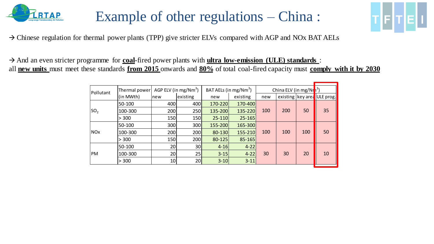

### Example of other regulations – China :



 $\rightarrow$  Chinese regulation for thermal power plants (TPP) give stricter ELVs compared with AGP and NOx BAT AELs

→ And an even stricter programme for **coal**-fired power plants with **ultra low-emission (ULE) standards** : all **new units** must meet these standards **from 2015** onwards and **80%** of total coal-fired capacity must **comply with it by 2030** 

| Pollutant       | Thermal power | AGP ELV (in mg/Nm <sup>3</sup> ) |          | BAT AELs (in mg/Nm <sup>3</sup> ) |            | China ELV (in mg/Nr <sup>13</sup> ) |     |     |                                |
|-----------------|---------------|----------------------------------|----------|-----------------------------------|------------|-------------------------------------|-----|-----|--------------------------------|
|                 | (in MWth)     | Inew                             | existing | new                               | existing   | new                                 |     |     | existing   key are   ULE prog. |
|                 | 50-100        | 400                              | 400      | 170-220                           | 170-400    |                                     |     |     |                                |
| SO <sub>2</sub> | 100-300       | 200                              | 250      | 135-200                           | 135-220    | 100                                 | 200 | 50  | 35                             |
|                 | > 300         | 150                              | 150      | $25 - 110$                        | $25 - 165$ |                                     |     |     |                                |
|                 | 50-100        | 300                              | 300      | 155-200                           | 165-300    |                                     |     | 100 |                                |
| <b>NOx</b>      | 100-300       | 200                              | 200      | 80-130                            | 155-210    | 100                                 | 100 |     | 50                             |
|                 | > 300         | 150                              | 200      | 80-125                            | 85-165     |                                     |     |     |                                |
|                 | 50-100        | 20                               | 30       | $4 - 16$                          | $4 - 22$   |                                     |     |     |                                |
| <b>PM</b>       | 100-300       | 20                               | 25       | $3 - 15$                          | $4 - 22$   | 30                                  | 30  | 20  | 10                             |
|                 | > 300         | 10                               | 20       | $3 - 10$                          | $3 - 11$   |                                     |     |     |                                |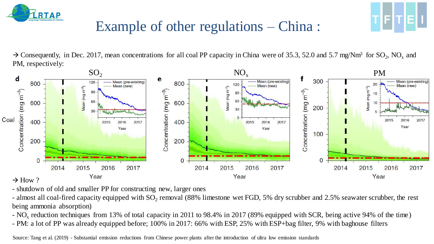

### Example of other regulations – China :

 $\rightarrow$  Consequently, in Dec. 2017, mean concentrations for all coal PP capacity in China were of 35.3, 52.0 and 5.7 mg/Nm<sup>3</sup> for SO<sub>2</sub>, NO<sub>x</sub> and PM, respectively:



- shutdown of old and smaller PP for constructing new, larger ones

- almost all coal-fired capacity equipped with  $SO_2$  removal (88% limestone wet FGD, 5% dry scrubber and 2.5% seawater scrubber, the rest being ammonia absorption)

- NO<sub>x</sub> reduction techniques from 13% of total capacity in 2011 to 98.4% in 2017 (89% equipped with SCR, being active 94% of the time) - PM: a lot of PP was already equipped before; 100% in 2017: 66% with ESP, 25% with ESP+bag filter, 9% with baghouse filters

Source: Tang et al. (2019) - Substantial emission reductions from Chinese power plants after the introduction of ultra low emission standards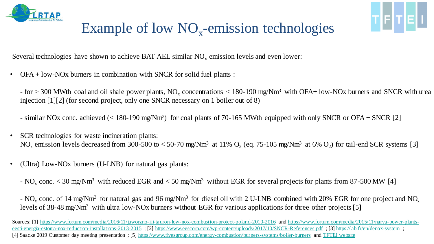



### Example of low  $NO<sub>x</sub>$ -emission technologies

Several technologies have shown to achieve BAT AEL similar  $NO<sub>x</sub>$  emission levels and even lower:

• OFA + low-NOx burners in combination with SNCR for solid fuel plants :

 $-$  for  $>$  300 MWth coal and oil shale power plants, NO<sub>x</sub> concentrations  $<$  180-190 mg/Nm<sup>3</sup> with OFA+ low-NOx burners and SNCR with urea injection [1][2] (for second project, only one SNCR necessary on 1 boiler out of 8)

- similar NOx conc. achieved (< 180-190 mg/Nm<sup>3</sup>) for coal plants of 70-165 MWth equipped with only SNCR or OFA + SNCR [2]
- SCR technologies for waste incineration plants: NO<sub>x</sub> emission levels decreased from 300-500 to < 50-70 mg/Nm<sup>3</sup> at 11% O<sub>2</sub> (eq. 75-105 mg/Nm<sup>3</sup> at 6% O<sub>2</sub>) for tail-end SCR systems [3]
- (Ultra) Low-NOx burners (U-LNB) for natural gas plants:
	- $NO<sub>x</sub> conc. < 30$  mg/Nm<sup>3</sup> with reduced EGR and  $< 50$  mg/Nm<sup>3</sup> without EGR for several projects for plants from 87-500 MW [4]

- NO<sub>x</sub> conc. of 14 mg/Nm<sup>3</sup> for natural gas and 96 mg/Nm<sup>3</sup> for diesel oil with 2 U-LNB combined with 20% EGR for one project and NO<sub>x</sub> levels of 38-48 mg/Nm<sup>3</sup> with ultra low-NOx burners without EGR for various applications for three other projects [5]

[Sources: \[1\]](https://www.fortum.com/media/2015/11/narva-power-plants-eesti-energia-estonia-nox-reduction-installations-2013-2015) [https://www.fortum.com/media/2016/11/jaworzno-iii-tauron-low-nox-combustion-project-poland-2010-201](https://www.fortum.com/media/2016/11/jaworzno-iii-tauron-low-nox-combustion-project-poland-2010-2016)[6](https://www.fortum.com/media/2015/11/narva-power-plants-eesti-energia-estonia-nox-reduction-installations-2013-2015) and https://www.fortum.com/media/2015/11/narva-power-plantseesti-energia-estonia-nox-reduction-installations-2013-2015; [2] <https://www.eescorp.com/wp-content/uploads/2017/10/SNCR-References.pdf>; [3]<https://lab.fr/en/denox-system>; [4] Saacke 2019 Customer day meeting presentation ; [5]<https://www.fivesgroup.com/energy-combustion/burners-systems/boiler-burners> and [TFTEI website](https://tftei.citepa.org/en/industrial-sources/reduction-of-nox-emissions#information-provided-by-industry-and-accepted-by-the-clearing-house-evaluation-committee)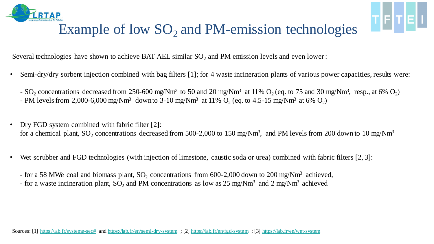

### Example of low  $SO<sub>2</sub>$  and PM-emission technologies

TETEL

Several technologies have shown to achieve BAT AEL similar  $SO_2$  and PM emission levels and even lower :

- Semi-dry/dry sorbent injection combined with bag filters [1]; for 4 waste incineration plants of various power capacities, results were:
	- SO<sub>2</sub> concentrations decreased from 250-600 mg/Nm<sup>3</sup> to 50 and 20 mg/Nm<sup>3</sup> at 11% O<sub>2</sub> (eq. to 75 and 30 mg/Nm<sup>3</sup>, resp., at 6% O<sub>2</sub>) - PM levels from 2,000-6,000 mg/Nm<sup>3</sup> downto 3-10 mg/Nm<sup>3</sup> at 11% O<sub>2</sub> (eq. to 4.5-15 mg/Nm<sup>3</sup> at 6% O<sub>2</sub>)
- Dry FGD system combined with fabric filter [2]: for a chemical plant, SO<sub>2</sub> concentrations decreased from 500-2,000 to 150 mg/Nm<sup>3</sup>, and PM levels from 200 down to 10 mg/Nm<sup>3</sup>
- Wet scrubber and FGD technologies (with injection of limestone, caustic soda or urea) combined with fabric filters [2, 3]:
	- for a 58 MWe coal and biomass plant, SO<sub>2</sub> concentrations from 600-2,000 down to 200 mg/Nm<sup>3</sup> achieved,
	- for a waste incineration plant, SO<sub>2</sub> and PM concentrations as low as  $25 \text{ mg}/\text{Nm}^3$  and  $2 \text{ mg}/\text{Nm}^3$  achieved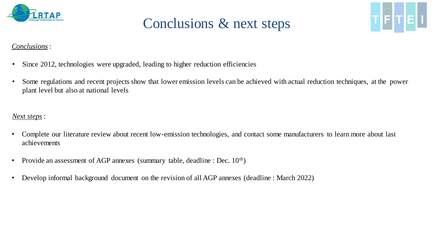

### Conclusions & next steps



#### *Conclusions* :

- Since 2012, technologies were upgraded, leading to higher reduction efficiencies
- Some regulations and recent projects show that lower emission levels can be achieved with actual reduction techniques, at the power plant level but also at national levels

#### *Next steps* :

- Complete our literature review about recent low-emission technologies, and contact some manufacturers to learn more about last achievements
- Provide an assessment of AGP annexes (summary table, deadline : Dec.  $10<sup>th</sup>$ )
- Develop informal background document on the revision of all AGP annexes (deadline : March 2022)